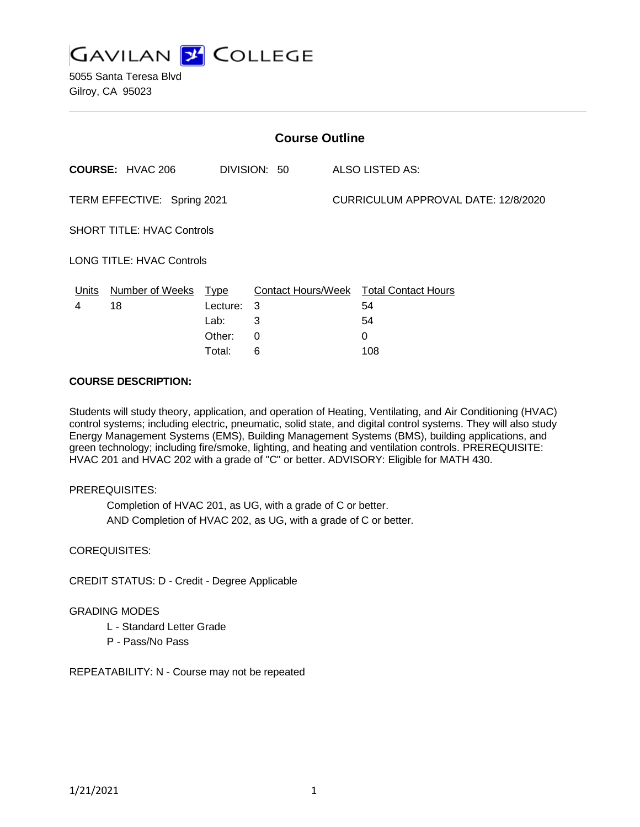

5055 Santa Teresa Blvd Gilroy, CA 95023

| <b>Course Outline</b>             |                         |          |              |                                     |                                        |
|-----------------------------------|-------------------------|----------|--------------|-------------------------------------|----------------------------------------|
|                                   | <b>COURSE: HVAC 206</b> |          | DIVISION: 50 |                                     | ALSO LISTED AS:                        |
| TERM EFFECTIVE: Spring 2021       |                         |          |              | CURRICULUM APPROVAL DATE: 12/8/2020 |                                        |
| <b>SHORT TITLE: HVAC Controls</b> |                         |          |              |                                     |                                        |
| <b>LONG TITLE: HVAC Controls</b>  |                         |          |              |                                     |                                        |
| Units                             | Number of Weeks Type    |          |              |                                     | Contact Hours/Week Total Contact Hours |
| 4                                 | 18                      | Lecture: | 3            |                                     | 54                                     |
|                                   |                         | Lab:     | 3            |                                     | 54                                     |
|                                   |                         | Other:   | 0            |                                     | $\Omega$                               |
|                                   |                         | Total:   | 6            |                                     | 108                                    |

### **COURSE DESCRIPTION:**

Students will study theory, application, and operation of Heating, Ventilating, and Air Conditioning (HVAC) control systems; including electric, pneumatic, solid state, and digital control systems. They will also study Energy Management Systems (EMS), Building Management Systems (BMS), building applications, and green technology; including fire/smoke, lighting, and heating and ventilation controls. PREREQUISITE: HVAC 201 and HVAC 202 with a grade of "C" or better. ADVISORY: Eligible for MATH 430.

### PREREQUISITES:

Completion of HVAC 201, as UG, with a grade of C or better. AND Completion of HVAC 202, as UG, with a grade of C or better.

## COREQUISITES:

CREDIT STATUS: D - Credit - Degree Applicable

### GRADING MODES

- L Standard Letter Grade
- P Pass/No Pass

REPEATABILITY: N - Course may not be repeated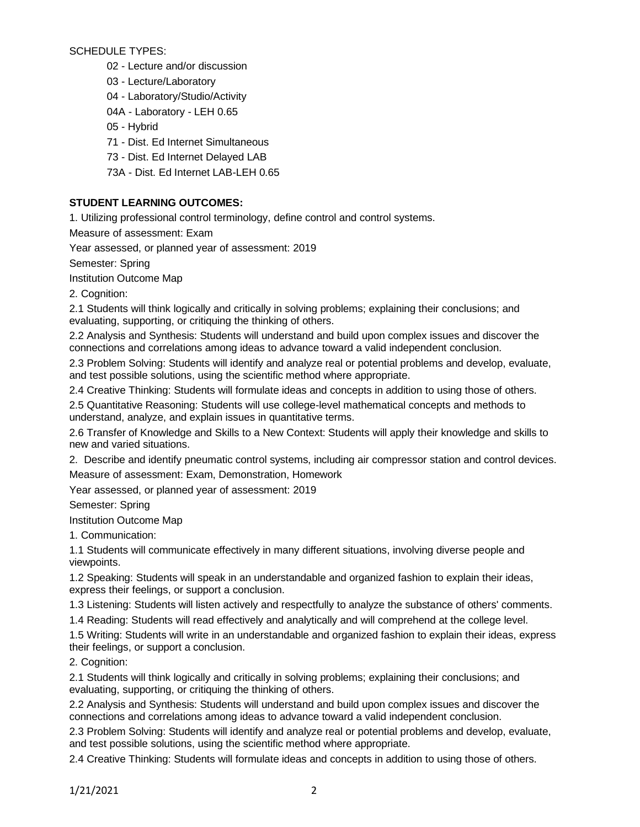SCHEDULE TYPES:

02 - Lecture and/or discussion

03 - Lecture/Laboratory

04 - Laboratory/Studio/Activity

04A - Laboratory - LEH 0.65

05 - Hybrid

71 - Dist. Ed Internet Simultaneous

73 - Dist. Ed Internet Delayed LAB

73A - Dist. Ed Internet LAB-LEH 0.65

# **STUDENT LEARNING OUTCOMES:**

1. Utilizing professional control terminology, define control and control systems.

Measure of assessment: Exam

Year assessed, or planned year of assessment: 2019

Semester: Spring

Institution Outcome Map

2. Cognition:

2.1 Students will think logically and critically in solving problems; explaining their conclusions; and evaluating, supporting, or critiquing the thinking of others.

2.2 Analysis and Synthesis: Students will understand and build upon complex issues and discover the connections and correlations among ideas to advance toward a valid independent conclusion.

2.3 Problem Solving: Students will identify and analyze real or potential problems and develop, evaluate, and test possible solutions, using the scientific method where appropriate.

2.4 Creative Thinking: Students will formulate ideas and concepts in addition to using those of others.

2.5 Quantitative Reasoning: Students will use college-level mathematical concepts and methods to understand, analyze, and explain issues in quantitative terms.

2.6 Transfer of Knowledge and Skills to a New Context: Students will apply their knowledge and skills to new and varied situations.

2. Describe and identify pneumatic control systems, including air compressor station and control devices. Measure of assessment: Exam, Demonstration, Homework

Year assessed, or planned year of assessment: 2019

Semester: Spring

Institution Outcome Map

1. Communication:

1.1 Students will communicate effectively in many different situations, involving diverse people and viewpoints.

1.2 Speaking: Students will speak in an understandable and organized fashion to explain their ideas, express their feelings, or support a conclusion.

1.3 Listening: Students will listen actively and respectfully to analyze the substance of others' comments.

1.4 Reading: Students will read effectively and analytically and will comprehend at the college level.

1.5 Writing: Students will write in an understandable and organized fashion to explain their ideas, express their feelings, or support a conclusion.

2. Cognition:

2.1 Students will think logically and critically in solving problems; explaining their conclusions; and evaluating, supporting, or critiquing the thinking of others.

2.2 Analysis and Synthesis: Students will understand and build upon complex issues and discover the connections and correlations among ideas to advance toward a valid independent conclusion.

2.3 Problem Solving: Students will identify and analyze real or potential problems and develop, evaluate, and test possible solutions, using the scientific method where appropriate.

2.4 Creative Thinking: Students will formulate ideas and concepts in addition to using those of others.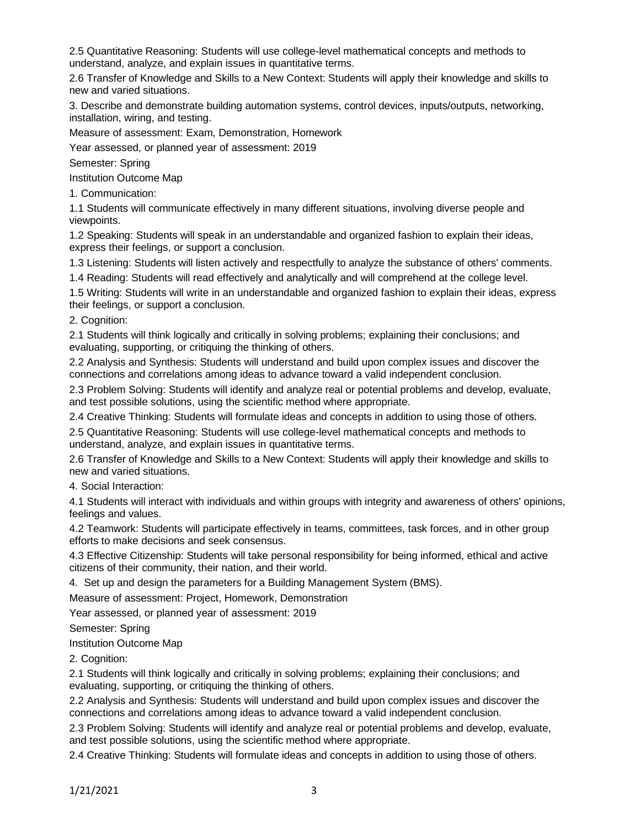2.5 Quantitative Reasoning: Students will use college-level mathematical concepts and methods to understand, analyze, and explain issues in quantitative terms.

2.6 Transfer of Knowledge and Skills to a New Context: Students will apply their knowledge and skills to new and varied situations.

3. Describe and demonstrate building automation systems, control devices, inputs/outputs, networking, installation, wiring, and testing.

Measure of assessment: Exam, Demonstration, Homework

Year assessed, or planned year of assessment: 2019

Semester: Spring

Institution Outcome Map

1. Communication:

1.1 Students will communicate effectively in many different situations, involving diverse people and viewpoints.

1.2 Speaking: Students will speak in an understandable and organized fashion to explain their ideas, express their feelings, or support a conclusion.

1.3 Listening: Students will listen actively and respectfully to analyze the substance of others' comments.

1.4 Reading: Students will read effectively and analytically and will comprehend at the college level.

1.5 Writing: Students will write in an understandable and organized fashion to explain their ideas, express their feelings, or support a conclusion.

2. Cognition:

2.1 Students will think logically and critically in solving problems; explaining their conclusions; and evaluating, supporting, or critiquing the thinking of others.

2.2 Analysis and Synthesis: Students will understand and build upon complex issues and discover the connections and correlations among ideas to advance toward a valid independent conclusion.

2.3 Problem Solving: Students will identify and analyze real or potential problems and develop, evaluate, and test possible solutions, using the scientific method where appropriate.

2.4 Creative Thinking: Students will formulate ideas and concepts in addition to using those of others.

2.5 Quantitative Reasoning: Students will use college-level mathematical concepts and methods to understand, analyze, and explain issues in quantitative terms.

2.6 Transfer of Knowledge and Skills to a New Context: Students will apply their knowledge and skills to new and varied situations.

4. Social Interaction:

4.1 Students will interact with individuals and within groups with integrity and awareness of others' opinions, feelings and values.

4.2 Teamwork: Students will participate effectively in teams, committees, task forces, and in other group efforts to make decisions and seek consensus.

4.3 Effective Citizenship: Students will take personal responsibility for being informed, ethical and active citizens of their community, their nation, and their world.

4. Set up and design the parameters for a Building Management System (BMS).

Measure of assessment: Project, Homework, Demonstration

Year assessed, or planned year of assessment: 2019

Semester: Spring

Institution Outcome Map

2. Cognition:

2.1 Students will think logically and critically in solving problems; explaining their conclusions; and evaluating, supporting, or critiquing the thinking of others.

2.2 Analysis and Synthesis: Students will understand and build upon complex issues and discover the connections and correlations among ideas to advance toward a valid independent conclusion.

2.3 Problem Solving: Students will identify and analyze real or potential problems and develop, evaluate, and test possible solutions, using the scientific method where appropriate.

2.4 Creative Thinking: Students will formulate ideas and concepts in addition to using those of others.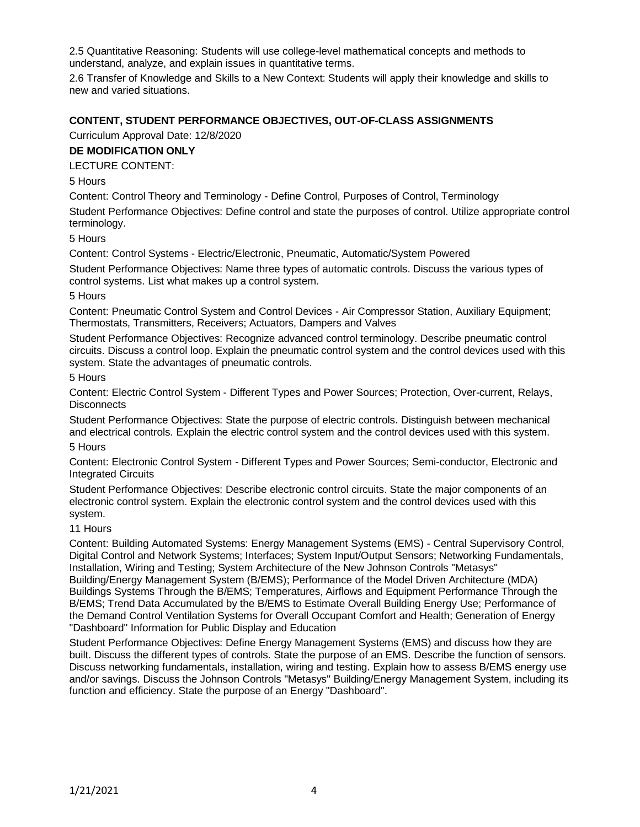2.5 Quantitative Reasoning: Students will use college-level mathematical concepts and methods to understand, analyze, and explain issues in quantitative terms.

2.6 Transfer of Knowledge and Skills to a New Context: Students will apply their knowledge and skills to new and varied situations.

## **CONTENT, STUDENT PERFORMANCE OBJECTIVES, OUT-OF-CLASS ASSIGNMENTS**

Curriculum Approval Date: 12/8/2020

## **DE MODIFICATION ONLY**

LECTURE CONTENT:

### 5 Hours

Content: Control Theory and Terminology - Define Control, Purposes of Control, Terminology

Student Performance Objectives: Define control and state the purposes of control. Utilize appropriate control terminology.

## 5 Hours

Content: Control Systems - Electric/Electronic, Pneumatic, Automatic/System Powered

Student Performance Objectives: Name three types of automatic controls. Discuss the various types of control systems. List what makes up a control system.

### 5 Hours

Content: Pneumatic Control System and Control Devices - Air Compressor Station, Auxiliary Equipment; Thermostats, Transmitters, Receivers; Actuators, Dampers and Valves

Student Performance Objectives: Recognize advanced control terminology. Describe pneumatic control circuits. Discuss a control loop. Explain the pneumatic control system and the control devices used with this system. State the advantages of pneumatic controls.

### 5 Hours

Content: Electric Control System - Different Types and Power Sources; Protection, Over-current, Relays, **Disconnects** 

Student Performance Objectives: State the purpose of electric controls. Distinguish between mechanical and electrical controls. Explain the electric control system and the control devices used with this system.

### 5 Hours

Content: Electronic Control System - Different Types and Power Sources; Semi-conductor, Electronic and Integrated Circuits

Student Performance Objectives: Describe electronic control circuits. State the major components of an electronic control system. Explain the electronic control system and the control devices used with this system.

### 11 Hours

Content: Building Automated Systems: Energy Management Systems (EMS) - Central Supervisory Control, Digital Control and Network Systems; Interfaces; System Input/Output Sensors; Networking Fundamentals, Installation, Wiring and Testing; System Architecture of the New Johnson Controls "Metasys" Building/Energy Management System (B/EMS); Performance of the Model Driven Architecture (MDA) Buildings Systems Through the B/EMS; Temperatures, Airflows and Equipment Performance Through the B/EMS; Trend Data Accumulated by the B/EMS to Estimate Overall Building Energy Use; Performance of the Demand Control Ventilation Systems for Overall Occupant Comfort and Health; Generation of Energy "Dashboard" Information for Public Display and Education

Student Performance Objectives: Define Energy Management Systems (EMS) and discuss how they are built. Discuss the different types of controls. State the purpose of an EMS. Describe the function of sensors. Discuss networking fundamentals, installation, wiring and testing. Explain how to assess B/EMS energy use and/or savings. Discuss the Johnson Controls "Metasys" Building/Energy Management System, including its function and efficiency. State the purpose of an Energy "Dashboard".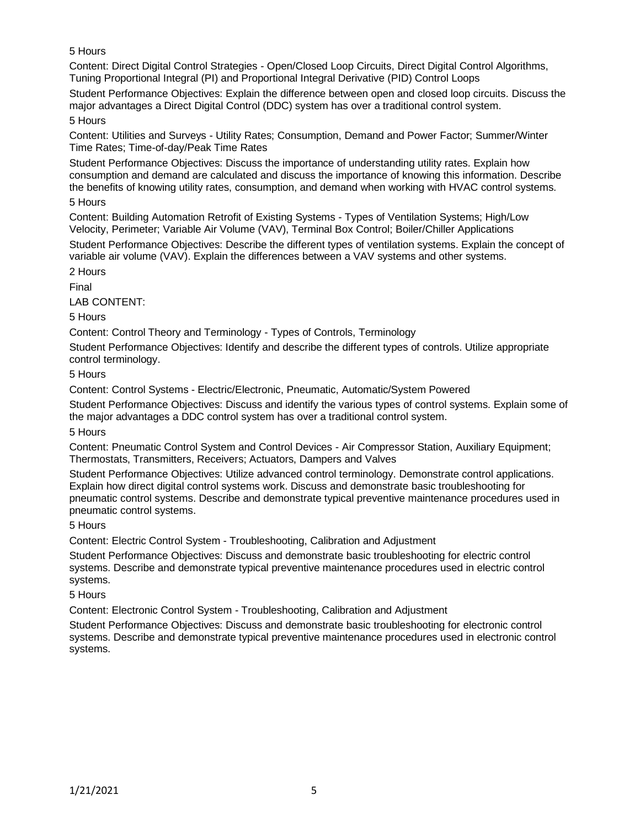5 Hours

Content: Direct Digital Control Strategies - Open/Closed Loop Circuits, Direct Digital Control Algorithms, Tuning Proportional Integral (PI) and Proportional Integral Derivative (PID) Control Loops

Student Performance Objectives: Explain the difference between open and closed loop circuits. Discuss the major advantages a Direct Digital Control (DDC) system has over a traditional control system. 5 Hours

Content: Utilities and Surveys - Utility Rates; Consumption, Demand and Power Factor; Summer/Winter Time Rates; Time-of-day/Peak Time Rates

Student Performance Objectives: Discuss the importance of understanding utility rates. Explain how consumption and demand are calculated and discuss the importance of knowing this information. Describe the benefits of knowing utility rates, consumption, and demand when working with HVAC control systems.

5 Hours

Content: Building Automation Retrofit of Existing Systems - Types of Ventilation Systems; High/Low Velocity, Perimeter; Variable Air Volume (VAV), Terminal Box Control; Boiler/Chiller Applications

Student Performance Objectives: Describe the different types of ventilation systems. Explain the concept of variable air volume (VAV). Explain the differences between a VAV systems and other systems.

2 Hours

Final

LAB CONTENT:

5 Hours

Content: Control Theory and Terminology - Types of Controls, Terminology

Student Performance Objectives: Identify and describe the different types of controls. Utilize appropriate control terminology.

5 Hours

Content: Control Systems - Electric/Electronic, Pneumatic, Automatic/System Powered

Student Performance Objectives: Discuss and identify the various types of control systems. Explain some of the major advantages a DDC control system has over a traditional control system.

5 Hours

Content: Pneumatic Control System and Control Devices - Air Compressor Station, Auxiliary Equipment; Thermostats, Transmitters, Receivers; Actuators, Dampers and Valves

Student Performance Objectives: Utilize advanced control terminology. Demonstrate control applications. Explain how direct digital control systems work. Discuss and demonstrate basic troubleshooting for pneumatic control systems. Describe and demonstrate typical preventive maintenance procedures used in pneumatic control systems.

5 Hours

Content: Electric Control System - Troubleshooting, Calibration and Adjustment

Student Performance Objectives: Discuss and demonstrate basic troubleshooting for electric control systems. Describe and demonstrate typical preventive maintenance procedures used in electric control systems.

5 Hours

Content: Electronic Control System - Troubleshooting, Calibration and Adjustment

Student Performance Objectives: Discuss and demonstrate basic troubleshooting for electronic control systems. Describe and demonstrate typical preventive maintenance procedures used in electronic control systems.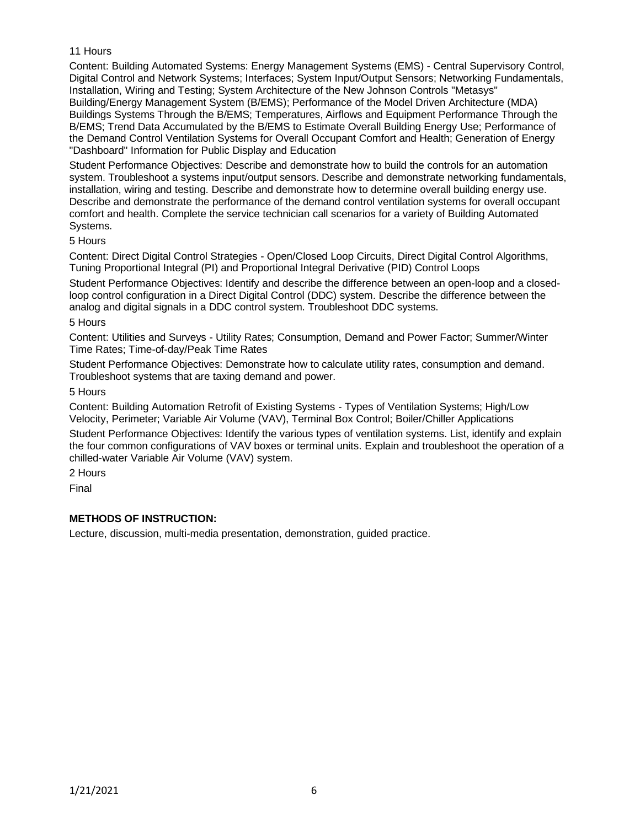# 11 Hours

Content: Building Automated Systems: Energy Management Systems (EMS) - Central Supervisory Control, Digital Control and Network Systems; Interfaces; System Input/Output Sensors; Networking Fundamentals, Installation, Wiring and Testing; System Architecture of the New Johnson Controls "Metasys" Building/Energy Management System (B/EMS); Performance of the Model Driven Architecture (MDA) Buildings Systems Through the B/EMS; Temperatures, Airflows and Equipment Performance Through the B/EMS; Trend Data Accumulated by the B/EMS to Estimate Overall Building Energy Use; Performance of the Demand Control Ventilation Systems for Overall Occupant Comfort and Health; Generation of Energy "Dashboard" Information for Public Display and Education

Student Performance Objectives: Describe and demonstrate how to build the controls for an automation system. Troubleshoot a systems input/output sensors. Describe and demonstrate networking fundamentals, installation, wiring and testing. Describe and demonstrate how to determine overall building energy use. Describe and demonstrate the performance of the demand control ventilation systems for overall occupant comfort and health. Complete the service technician call scenarios for a variety of Building Automated Systems.

## 5 Hours

Content: Direct Digital Control Strategies - Open/Closed Loop Circuits, Direct Digital Control Algorithms, Tuning Proportional Integral (PI) and Proportional Integral Derivative (PID) Control Loops

Student Performance Objectives: Identify and describe the difference between an open-loop and a closedloop control configuration in a Direct Digital Control (DDC) system. Describe the difference between the analog and digital signals in a DDC control system. Troubleshoot DDC systems.

## 5 Hours

Content: Utilities and Surveys - Utility Rates; Consumption, Demand and Power Factor; Summer/Winter Time Rates; Time-of-day/Peak Time Rates

Student Performance Objectives: Demonstrate how to calculate utility rates, consumption and demand. Troubleshoot systems that are taxing demand and power.

## 5 Hours

Content: Building Automation Retrofit of Existing Systems - Types of Ventilation Systems; High/Low Velocity, Perimeter; Variable Air Volume (VAV), Terminal Box Control; Boiler/Chiller Applications

Student Performance Objectives: Identify the various types of ventilation systems. List, identify and explain the four common configurations of VAV boxes or terminal units. Explain and troubleshoot the operation of a chilled-water Variable Air Volume (VAV) system.

2 Hours

Final

# **METHODS OF INSTRUCTION:**

Lecture, discussion, multi-media presentation, demonstration, guided practice.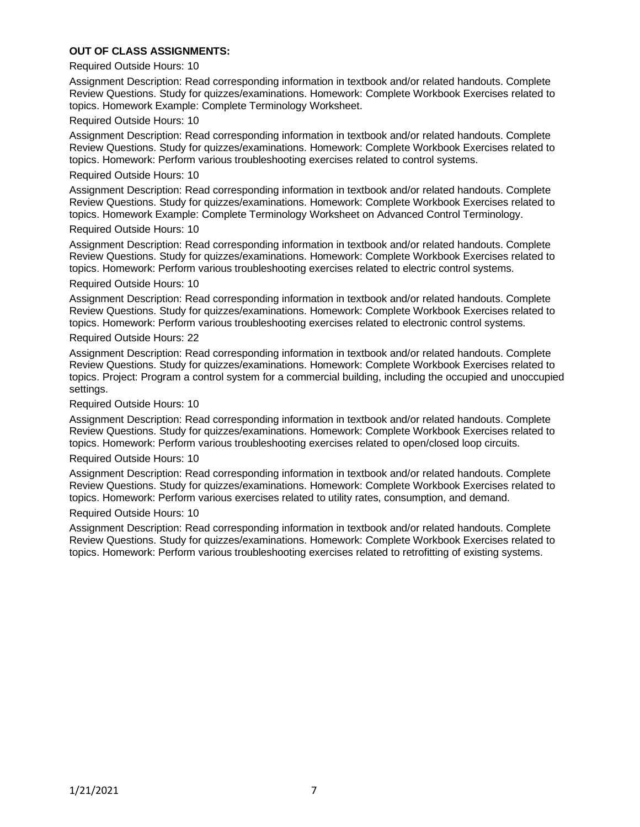## **OUT OF CLASS ASSIGNMENTS:**

### Required Outside Hours: 10

Assignment Description: Read corresponding information in textbook and/or related handouts. Complete Review Questions. Study for quizzes/examinations. Homework: Complete Workbook Exercises related to topics. Homework Example: Complete Terminology Worksheet.

### Required Outside Hours: 10

Assignment Description: Read corresponding information in textbook and/or related handouts. Complete Review Questions. Study for quizzes/examinations. Homework: Complete Workbook Exercises related to topics. Homework: Perform various troubleshooting exercises related to control systems.

### Required Outside Hours: 10

Assignment Description: Read corresponding information in textbook and/or related handouts. Complete Review Questions. Study for quizzes/examinations. Homework: Complete Workbook Exercises related to topics. Homework Example: Complete Terminology Worksheet on Advanced Control Terminology.

### Required Outside Hours: 10

Assignment Description: Read corresponding information in textbook and/or related handouts. Complete Review Questions. Study for quizzes/examinations. Homework: Complete Workbook Exercises related to topics. Homework: Perform various troubleshooting exercises related to electric control systems.

### Required Outside Hours: 10

Assignment Description: Read corresponding information in textbook and/or related handouts. Complete Review Questions. Study for quizzes/examinations. Homework: Complete Workbook Exercises related to topics. Homework: Perform various troubleshooting exercises related to electronic control systems.

#### Required Outside Hours: 22

Assignment Description: Read corresponding information in textbook and/or related handouts. Complete Review Questions. Study for quizzes/examinations. Homework: Complete Workbook Exercises related to topics. Project: Program a control system for a commercial building, including the occupied and unoccupied settings.

#### Required Outside Hours: 10

Assignment Description: Read corresponding information in textbook and/or related handouts. Complete Review Questions. Study for quizzes/examinations. Homework: Complete Workbook Exercises related to topics. Homework: Perform various troubleshooting exercises related to open/closed loop circuits.

### Required Outside Hours: 10

Assignment Description: Read corresponding information in textbook and/or related handouts. Complete Review Questions. Study for quizzes/examinations. Homework: Complete Workbook Exercises related to topics. Homework: Perform various exercises related to utility rates, consumption, and demand.

#### Required Outside Hours: 10

Assignment Description: Read corresponding information in textbook and/or related handouts. Complete Review Questions. Study for quizzes/examinations. Homework: Complete Workbook Exercises related to topics. Homework: Perform various troubleshooting exercises related to retrofitting of existing systems.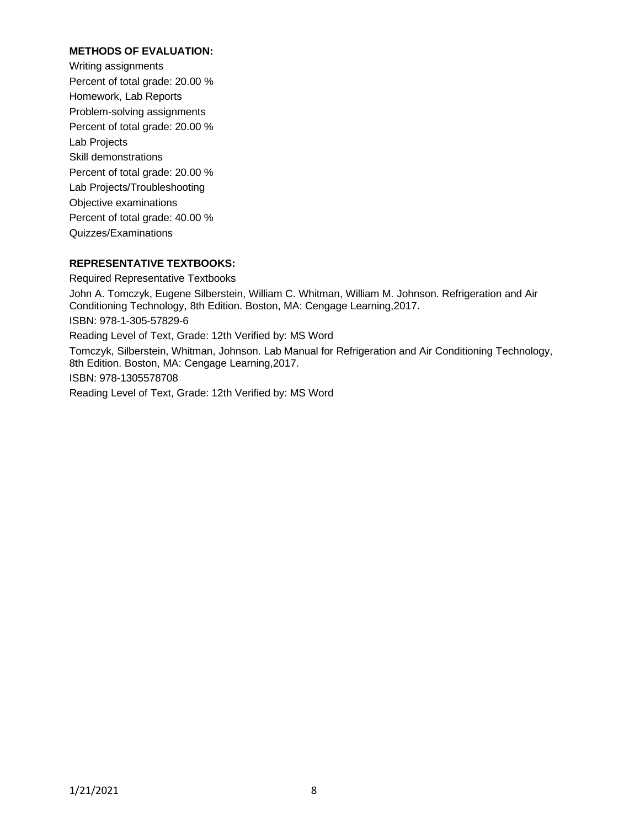# **METHODS OF EVALUATION:**

Writing assignments Percent of total grade: 20.00 % Homework, Lab Reports Problem-solving assignments Percent of total grade: 20.00 % Lab Projects Skill demonstrations Percent of total grade: 20.00 % Lab Projects/Troubleshooting Objective examinations Percent of total grade: 40.00 % Quizzes/Examinations

# **REPRESENTATIVE TEXTBOOKS:**

Required Representative Textbooks John A. Tomczyk, Eugene Silberstein, William C. Whitman, William M. Johnson. Refrigeration and Air Conditioning Technology, 8th Edition. Boston, MA: Cengage Learning,2017. ISBN: 978-1-305-57829-6 Reading Level of Text, Grade: 12th Verified by: MS Word Tomczyk, Silberstein, Whitman, Johnson. Lab Manual for Refrigeration and Air Conditioning Technology, 8th Edition. Boston, MA: Cengage Learning,2017. ISBN: 978-1305578708 Reading Level of Text, Grade: 12th Verified by: MS Word